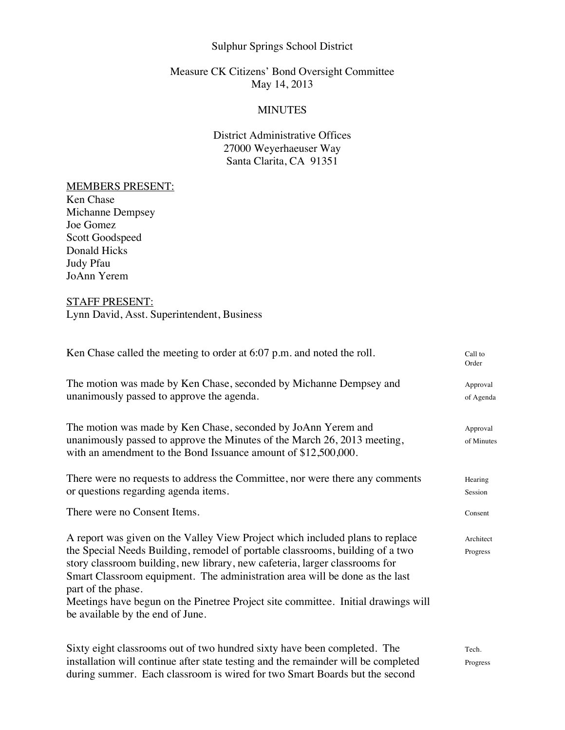# Sulphur Springs School District

# Measure CK Citizens' Bond Oversight Committee May 14, 2013

#### **MINUTES**

# District Administrative Offices 27000 Weyerhaeuser Way Santa Clarita, CA 91351

#### MEMBERS PRESENT:

Ken Chase Michanne Dempsey Joe Gomez Scott Goodspeed Donald Hicks Judy Pfau JoAnn Yerem

# STAFF PRESENT:

Lynn David, Asst. Superintendent, Business

| Ken Chase called the meeting to order at $6:07$ p.m. and noted the roll.                                                                   | Call to<br>Order |
|--------------------------------------------------------------------------------------------------------------------------------------------|------------------|
| The motion was made by Ken Chase, seconded by Michanne Dempsey and                                                                         | Approval         |
| unanimously passed to approve the agenda.                                                                                                  | of Agenda        |
| The motion was made by Ken Chase, seconded by JoAnn Yerem and                                                                              | Approval         |
| unanimously passed to approve the Minutes of the March 26, 2013 meeting,<br>with an amendment to the Bond Issuance amount of \$12,500,000. | of Minutes       |
| There were no requests to address the Committee, nor were there any comments                                                               | Hearing          |
| or questions regarding agenda items.                                                                                                       | Session          |
| There were no Consent Items.                                                                                                               | Consent          |
| A report was given on the Valley View Project which included plans to replace                                                              | Architect        |
| the Special Needs Building, remodel of portable classrooms, building of a two                                                              | Progress         |
| story classroom building, new library, new cafeteria, larger classrooms for                                                                |                  |
| Smart Classroom equipment. The administration area will be done as the last<br>part of the phase.                                          |                  |
| Meetings have begun on the Pinetree Project site committee. Initial drawings will<br>be available by the end of June.                      |                  |
| Sixty eight classrooms out of two hundred sixty have been completed. The                                                                   | Tech.            |
| installation will continue after state testing and the remainder will be completed                                                         | Progress         |
| during summer. Each classroom is wired for two Smart Boards but the second                                                                 |                  |